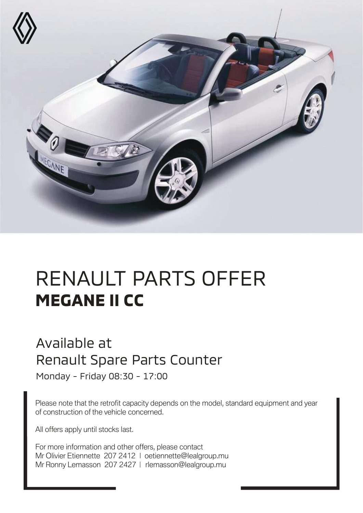

## RENAULT PARTS OFFER **MEGANE II CC**

## Available at Renault Spare Parts Counter

Monday - Friday 08:30 - 17:00

Please note that the retrofit capacity depends on the model, standard equipment and year of construction of the vehicle concerned.

All offers apply until stocks last.

For more information and other offers, please contact Mr Olivier Etiennette 207 2412 | oetiennette@lealgroup.mu Mr Ronny Lemasson 207 2427 | rlemasson@lealgroup.mu